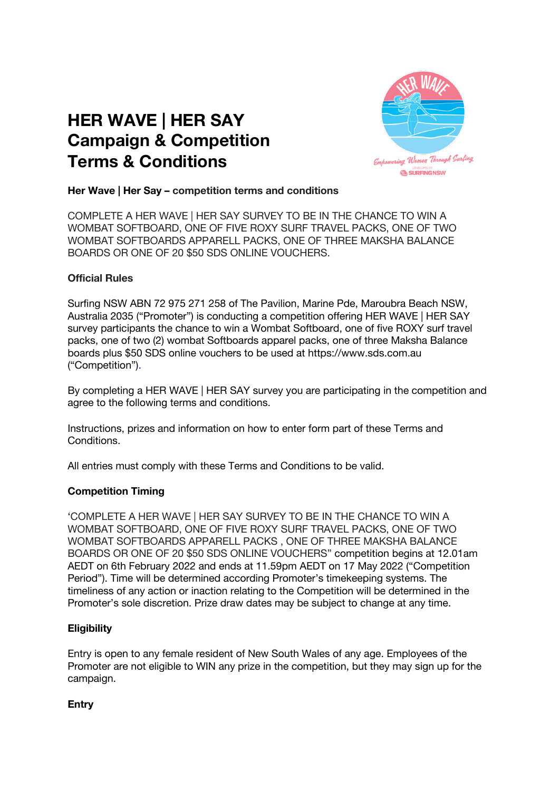# **HER WAVE | HER SAY Campaign & Competition Terms & Conditions**



## **Her Wave | Her Say – competition terms and conditions**

COMPLETE A HER WAVE | HER SAY SURVEY TO BE IN THE CHANCE TO WIN A WOMBAT SOFTBOARD, ONE OF FIVE ROXY SURF TRAVEL PACKS, ONE OF TWO WOMBAT SOFTBOARDS APPARELL PACKS, ONE OF THREE MAKSHA BALANCE BOARDS OR ONE OF 20 \$50 SDS ONLINE VOUCHERS.

## **Official Rules**

Surfing NSW ABN 72 975 271 258 of The Pavilion, Marine Pde, Maroubra Beach NSW, Australia 2035 ("Promoter") is conducting a competition offering HER WAVE | HER SAY survey participants the chance to win a Wombat Softboard, one of five ROXY surf travel packs, one of two (2) wombat Softboards apparel packs, one of three Maksha Balance boards plus \$50 SDS online vouchers to be used at https://www.sds.com.au ("Competition").

By completing a HER WAVE | HER SAY survey you are participating in the competition and agree to the following terms and conditions.

Instructions, prizes and information on how to enter form part of these Terms and Conditions.

All entries must comply with these Terms and Conditions to be valid.

## **Competition Timing**

'COMPLETE A HER WAVE | HER SAY SURVEY TO BE IN THE CHANCE TO WIN A WOMBAT SOFTBOARD, ONE OF FIVE ROXY SURF TRAVEL PACKS, ONE OF TWO WOMBAT SOFTBOARDS APPARELL PACKS , ONE OF THREE MAKSHA BALANCE BOARDS OR ONE OF 20 \$50 SDS ONLINE VOUCHERS" competition begins at 12.01am AEDT on 6th February 2022 and ends at 11.59pm AEDT on 17 May 2022 ("Competition Period"). Time will be determined according Promoter's timekeeping systems. The timeliness of any action or inaction relating to the Competition will be determined in the Promoter's sole discretion. Prize draw dates may be subject to change at any time.

## **Eligibility**

Entry is open to any female resident of New South Wales of any age. Employees of the Promoter are not eligible to WIN any prize in the competition, but they may sign up for the campaign.

#### **Entry**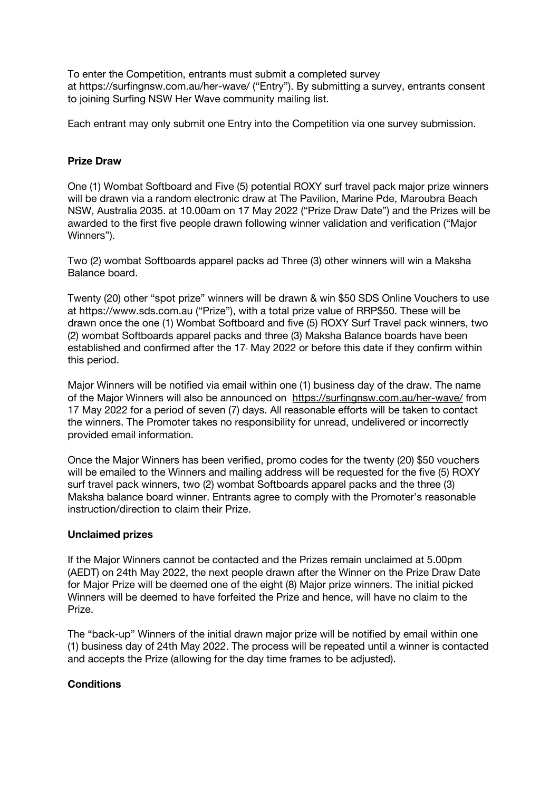To enter the Competition, entrants must submit a completed survey at https://surfingnsw.com.au/her-wave/ ("Entry"). By submitting a survey, entrants consent to joining Surfing NSW Her Wave community mailing list.

Each entrant may only submit one Entry into the Competition via one survey submission.

### **Prize Draw**

One (1) Wombat Softboard and Five (5) potential ROXY surf travel pack major prize winners will be drawn via a random electronic draw at The Pavilion, Marine Pde, Maroubra Beach NSW, Australia 2035. at 10.00am on 17 May 2022 ("Prize Draw Date") and the Prizes will be awarded to the first five people drawn following winner validation and verification ("Major Winners").

Two (2) wombat Softboards apparel packs ad Three (3) other winners will win a Maksha Balance board.

Twenty (20) other "spot prize" winners will be drawn & win \$50 SDS Online Vouchers to use at https://www.sds.com.au ("Prize"), with a total prize value of RRP\$50. These will be drawn once the one (1) Wombat Softboard and five (5) ROXY Surf Travel pack winners, two (2) wombat Softboards apparel packs and three (3) Maksha Balance boards have been established and confirmed after the 17. May 2022 or before this date if they confirm within this period.

Major Winners will be notified via email within one (1) business day of the draw. The name of the Major Winners will also be announced on https://surfingnsw.com.au/her-wave/ from 17 May 2022 for a period of seven (7) days. All reasonable efforts will be taken to contact the winners. The Promoter takes no responsibility for unread, undelivered or incorrectly provided email information.

Once the Major Winners has been verified, promo codes for the twenty (20) \$50 vouchers will be emailed to the Winners and mailing address will be requested for the five (5) ROXY surf travel pack winners, two (2) wombat Softboards apparel packs and the three (3) Maksha balance board winner. Entrants agree to comply with the Promoter's reasonable instruction/direction to claim their Prize.

#### **Unclaimed prizes**

If the Major Winners cannot be contacted and the Prizes remain unclaimed at 5.00pm (AEDT) on 24th May 2022, the next people drawn after the Winner on the Prize Draw Date for Major Prize will be deemed one of the eight (8) Major prize winners. The initial picked Winners will be deemed to have forfeited the Prize and hence, will have no claim to the Prize.

The "back-up" Winners of the initial drawn major prize will be notified by email within one (1) business day of 24th May 2022. The process will be repeated until a winner is contacted and accepts the Prize (allowing for the day time frames to be adjusted).

#### **Conditions**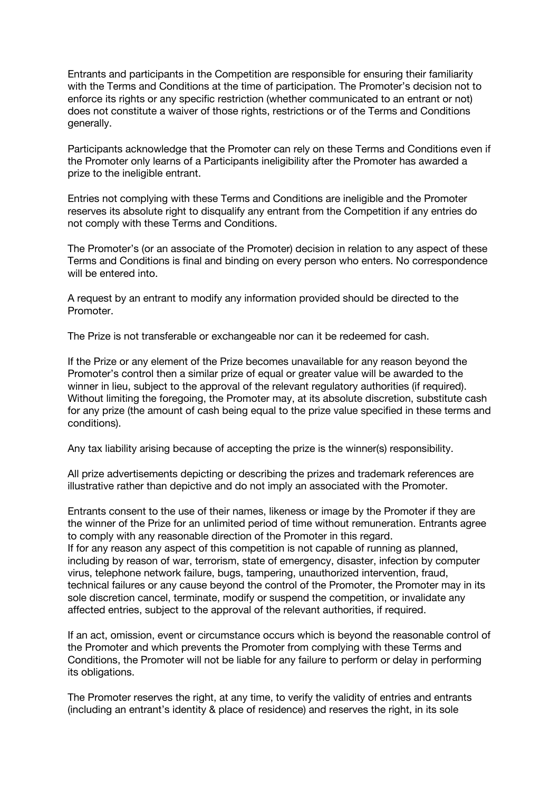Entrants and participants in the Competition are responsible for ensuring their familiarity with the Terms and Conditions at the time of participation. The Promoter's decision not to enforce its rights or any specific restriction (whether communicated to an entrant or not) does not constitute a waiver of those rights, restrictions or of the Terms and Conditions generally.

Participants acknowledge that the Promoter can rely on these Terms and Conditions even if the Promoter only learns of a Participants ineligibility after the Promoter has awarded a prize to the ineligible entrant.

Entries not complying with these Terms and Conditions are ineligible and the Promoter reserves its absolute right to disqualify any entrant from the Competition if any entries do not comply with these Terms and Conditions.

The Promoter's (or an associate of the Promoter) decision in relation to any aspect of these Terms and Conditions is final and binding on every person who enters. No correspondence will be entered into.

A request by an entrant to modify any information provided should be directed to the Promoter.

The Prize is not transferable or exchangeable nor can it be redeemed for cash.

If the Prize or any element of the Prize becomes unavailable for any reason beyond the Promoter's control then a similar prize of equal or greater value will be awarded to the winner in lieu, subject to the approval of the relevant regulatory authorities (if required). Without limiting the foregoing, the Promoter may, at its absolute discretion, substitute cash for any prize (the amount of cash being equal to the prize value specified in these terms and conditions).

Any tax liability arising because of accepting the prize is the winner(s) responsibility.

All prize advertisements depicting or describing the prizes and trademark references are illustrative rather than depictive and do not imply an associated with the Promoter.

Entrants consent to the use of their names, likeness or image by the Promoter if they are the winner of the Prize for an unlimited period of time without remuneration. Entrants agree to comply with any reasonable direction of the Promoter in this regard. If for any reason any aspect of this competition is not capable of running as planned, including by reason of war, terrorism, state of emergency, disaster, infection by computer virus, telephone network failure, bugs, tampering, unauthorized intervention, fraud, technical failures or any cause beyond the control of the Promoter, the Promoter may in its sole discretion cancel, terminate, modify or suspend the competition, or invalidate any affected entries, subject to the approval of the relevant authorities, if required.

If an act, omission, event or circumstance occurs which is beyond the reasonable control of the Promoter and which prevents the Promoter from complying with these Terms and Conditions, the Promoter will not be liable for any failure to perform or delay in performing its obligations.

The Promoter reserves the right, at any time, to verify the validity of entries and entrants (including an entrant's identity & place of residence) and reserves the right, in its sole